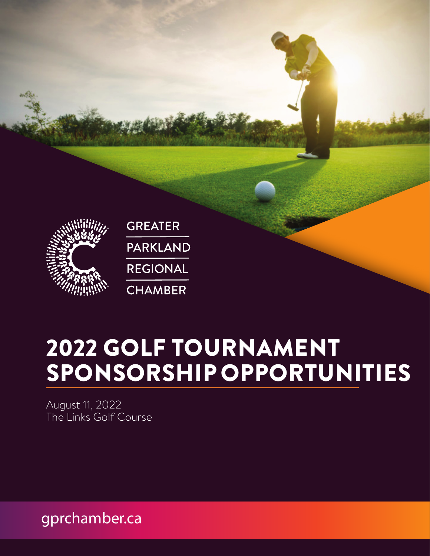

# 2022 GOLF TOURNAMENT SPONSORSHIP OPPORTUNITIES

August 11, 2022 The Links Golf Course

gprchamber.ca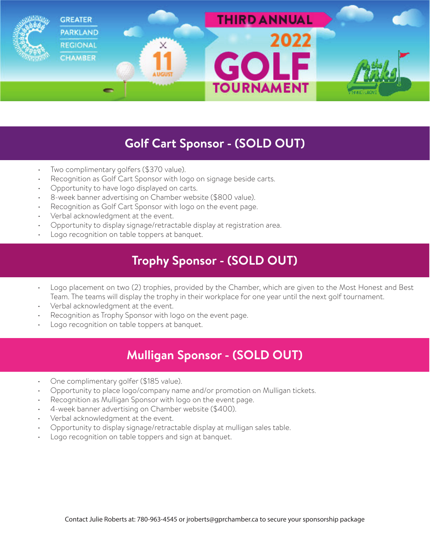

#### **Golf Cart Sponsor - (SOLD OUT)**

- Two complimentary golfers (\$370 value).
- Recognition as Golf Cart Sponsor with logo on signage beside carts.
- Opportunity to have logo displayed on carts.
- 8-week banner advertising on Chamber website (\$800 value).
- Recognition as Golf Cart Sponsor with logo on the event page.
- Verbal acknowledgment at the event.
- Opportunity to display signage/retractable display at registration area.
- Logo recognition on table toppers at banquet.

#### **Trophy Sponsor - (SOLD OUT)**

- Logo placement on two (2) trophies, provided by the Chamber, which are given to the Most Honest and Best Team. The teams will display the trophy in their workplace for one year until the next golf tournament.
- Verbal acknowledgment at the event.
- Recognition as Trophy Sponsor with logo on the event page.
- Logo recognition on table toppers at banquet.

### **Mulligan Sponsor - (SOLD OUT)**

- One complimentary golfer (\$185 value).
- Opportunity to place logo/company name and/or promotion on Mulligan tickets.
- Recognition as Mulligan Sponsor with logo on the event page.
- 4-week banner advertising on Chamber website (\$400).
- Verbal acknowledgment at the event.
- Opportunity to display signage/retractable display at mulligan sales table.
- Logo recognition on table toppers and sign at banquet.